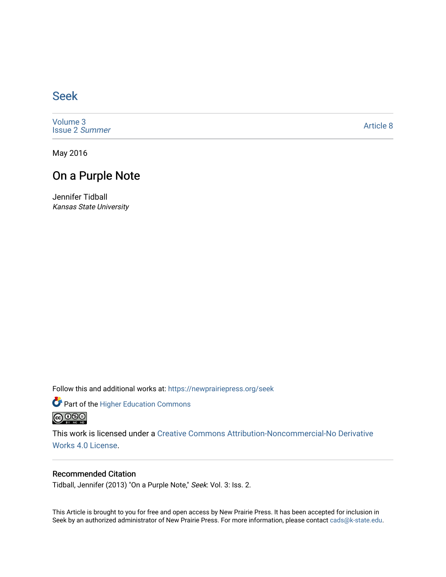## [Seek](https://newprairiepress.org/seek)

[Volume 3](https://newprairiepress.org/seek/vol3) [Issue 2](https://newprairiepress.org/seek/vol3/iss2) Summer

[Article 8](https://newprairiepress.org/seek/vol3/iss2/8) 

May 2016

## On a Purple Note

Jennifer Tidball Kansas State University

Follow this and additional works at: [https://newprairiepress.org/seek](https://newprairiepress.org/seek?utm_source=newprairiepress.org%2Fseek%2Fvol3%2Fiss2%2F8&utm_medium=PDF&utm_campaign=PDFCoverPages)

Part of the [Higher Education Commons](http://network.bepress.com/hgg/discipline/1245?utm_source=newprairiepress.org%2Fseek%2Fvol3%2Fiss2%2F8&utm_medium=PDF&utm_campaign=PDFCoverPages) 



This work is licensed under a [Creative Commons Attribution-Noncommercial-No Derivative](https://creativecommons.org/licenses/by-nc-nd/4.0/)  [Works 4.0 License](https://creativecommons.org/licenses/by-nc-nd/4.0/).

### Recommended Citation

Tidball, Jennifer (2013) "On a Purple Note," Seek: Vol. 3: Iss. 2.

This Article is brought to you for free and open access by New Prairie Press. It has been accepted for inclusion in Seek by an authorized administrator of New Prairie Press. For more information, please contact [cads@k-state.edu](mailto:cads@k-state.edu).